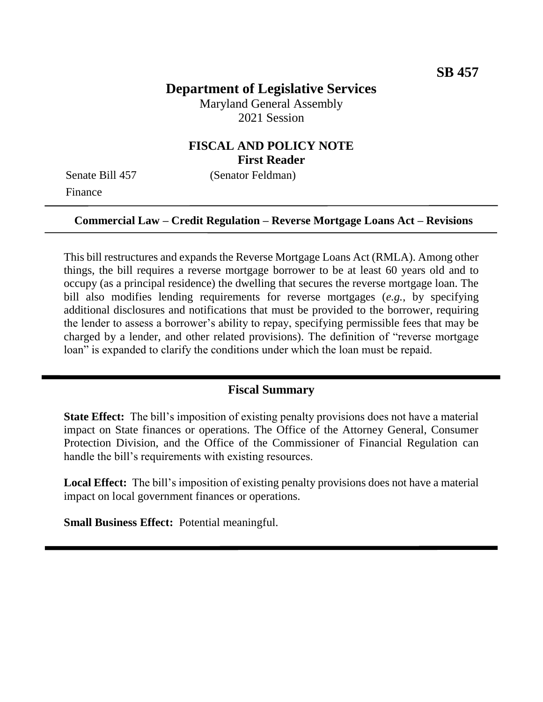## **Department of Legislative Services**

Maryland General Assembly 2021 Session

### **FISCAL AND POLICY NOTE First Reader**

Senate Bill 457 (Senator Feldman) Finance

#### **Commercial Law – Credit Regulation – Reverse Mortgage Loans Act – Revisions**

This bill restructures and expands the Reverse Mortgage Loans Act (RMLA). Among other things, the bill requires a reverse mortgage borrower to be at least 60 years old and to occupy (as a principal residence) the dwelling that secures the reverse mortgage loan. The bill also modifies lending requirements for reverse mortgages (*e.g.*, by specifying additional disclosures and notifications that must be provided to the borrower, requiring the lender to assess a borrower's ability to repay, specifying permissible fees that may be charged by a lender, and other related provisions). The definition of "reverse mortgage loan" is expanded to clarify the conditions under which the loan must be repaid.

#### **Fiscal Summary**

**State Effect:** The bill's imposition of existing penalty provisions does not have a material impact on State finances or operations. The Office of the Attorney General, Consumer Protection Division, and the Office of the Commissioner of Financial Regulation can handle the bill's requirements with existing resources.

**Local Effect:** The bill's imposition of existing penalty provisions does not have a material impact on local government finances or operations.

**Small Business Effect:** Potential meaningful.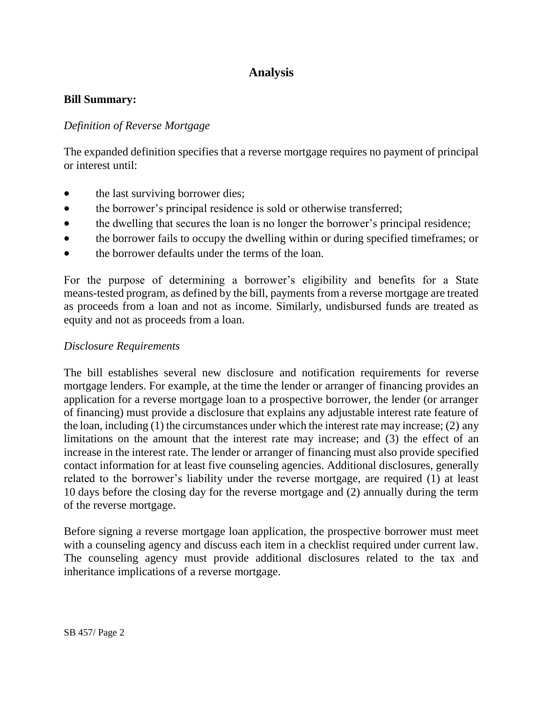# **Analysis**

#### **Bill Summary:**

### *Definition of Reverse Mortgage*

The expanded definition specifies that a reverse mortgage requires no payment of principal or interest until:

- the last surviving borrower dies;
- the borrower's principal residence is sold or otherwise transferred;
- the dwelling that secures the loan is no longer the borrower's principal residence;
- the borrower fails to occupy the dwelling within or during specified timeframes; or
- the borrower defaults under the terms of the loan.

For the purpose of determining a borrower's eligibility and benefits for a State means-tested program, as defined by the bill, payments from a reverse mortgage are treated as proceeds from a loan and not as income. Similarly, undisbursed funds are treated as equity and not as proceeds from a loan.

#### *Disclosure Requirements*

The bill establishes several new disclosure and notification requirements for reverse mortgage lenders. For example, at the time the lender or arranger of financing provides an application for a reverse mortgage loan to a prospective borrower, the lender (or arranger of financing) must provide a disclosure that explains any adjustable interest rate feature of the loan, including (1) the circumstances under which the interest rate may increase; (2) any limitations on the amount that the interest rate may increase; and (3) the effect of an increase in the interest rate. The lender or arranger of financing must also provide specified contact information for at least five counseling agencies. Additional disclosures, generally related to the borrower's liability under the reverse mortgage, are required (1) at least 10 days before the closing day for the reverse mortgage and (2) annually during the term of the reverse mortgage.

Before signing a reverse mortgage loan application, the prospective borrower must meet with a counseling agency and discuss each item in a checklist required under current law. The counseling agency must provide additional disclosures related to the tax and inheritance implications of a reverse mortgage.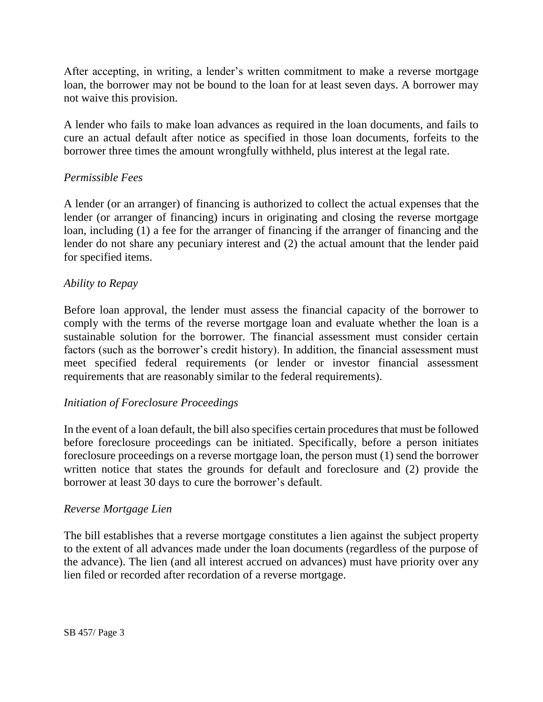After accepting, in writing, a lender's written commitment to make a reverse mortgage loan, the borrower may not be bound to the loan for at least seven days. A borrower may not waive this provision.

A lender who fails to make loan advances as required in the loan documents, and fails to cure an actual default after notice as specified in those loan documents, forfeits to the borrower three times the amount wrongfully withheld, plus interest at the legal rate.

#### *Permissible Fees*

A lender (or an arranger) of financing is authorized to collect the actual expenses that the lender (or arranger of financing) incurs in originating and closing the reverse mortgage loan, including (1) a fee for the arranger of financing if the arranger of financing and the lender do not share any pecuniary interest and (2) the actual amount that the lender paid for specified items.

#### *Ability to Repay*

Before loan approval, the lender must assess the financial capacity of the borrower to comply with the terms of the reverse mortgage loan and evaluate whether the loan is a sustainable solution for the borrower. The financial assessment must consider certain factors (such as the borrower's credit history). In addition, the financial assessment must meet specified federal requirements (or lender or investor financial assessment requirements that are reasonably similar to the federal requirements).

#### *Initiation of Foreclosure Proceedings*

In the event of a loan default, the bill also specifies certain procedures that must be followed before foreclosure proceedings can be initiated. Specifically, before a person initiates foreclosure proceedings on a reverse mortgage loan, the person must (1) send the borrower written notice that states the grounds for default and foreclosure and (2) provide the borrower at least 30 days to cure the borrower's default.

#### *Reverse Mortgage Lien*

The bill establishes that a reverse mortgage constitutes a lien against the subject property to the extent of all advances made under the loan documents (regardless of the purpose of the advance). The lien (and all interest accrued on advances) must have priority over any lien filed or recorded after recordation of a reverse mortgage.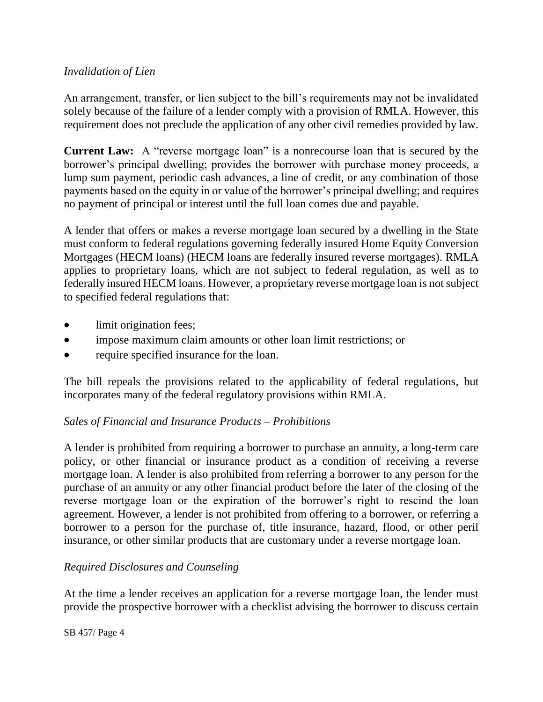### *Invalidation of Lien*

An arrangement, transfer, or lien subject to the bill's requirements may not be invalidated solely because of the failure of a lender comply with a provision of RMLA. However, this requirement does not preclude the application of any other civil remedies provided by law.

**Current Law:** A "reverse mortgage loan" is a nonrecourse loan that is secured by the borrower's principal dwelling; provides the borrower with purchase money proceeds, a lump sum payment, periodic cash advances, a line of credit, or any combination of those payments based on the equity in or value of the borrower's principal dwelling; and requires no payment of principal or interest until the full loan comes due and payable.

A lender that offers or makes a reverse mortgage loan secured by a dwelling in the State must conform to federal regulations governing federally insured Home Equity Conversion Mortgages (HECM loans) (HECM loans are federally insured reverse mortgages). RMLA applies to proprietary loans, which are not subject to federal regulation, as well as to federally insured HECM loans. However, a proprietary reverse mortgage loan is not subject to specified federal regulations that:

- limit origination fees;
- impose maximum claim amounts or other loan limit restrictions; or
- require specified insurance for the loan.

The bill repeals the provisions related to the applicability of federal regulations, but incorporates many of the federal regulatory provisions within RMLA.

### *Sales of Financial and Insurance Products – Prohibitions*

A lender is prohibited from requiring a borrower to purchase an annuity, a long-term care policy, or other financial or insurance product as a condition of receiving a reverse mortgage loan. A lender is also prohibited from referring a borrower to any person for the purchase of an annuity or any other financial product before the later of the closing of the reverse mortgage loan or the expiration of the borrower's right to rescind the loan agreement. However, a lender is not prohibited from offering to a borrower, or referring a borrower to a person for the purchase of, title insurance, hazard, flood, or other peril insurance, or other similar products that are customary under a reverse mortgage loan.

## *Required Disclosures and Counseling*

At the time a lender receives an application for a reverse mortgage loan, the lender must provide the prospective borrower with a checklist advising the borrower to discuss certain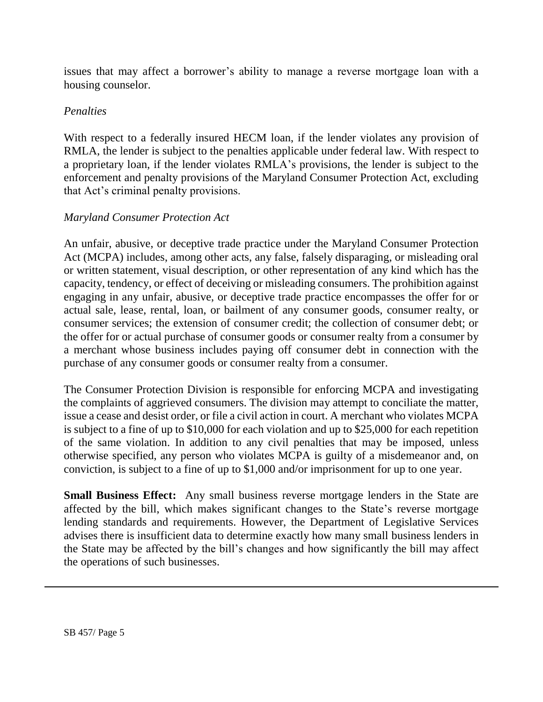issues that may affect a borrower's ability to manage a reverse mortgage loan with a housing counselor.

### *Penalties*

With respect to a federally insured HECM loan, if the lender violates any provision of RMLA, the lender is subject to the penalties applicable under federal law. With respect to a proprietary loan, if the lender violates RMLA's provisions, the lender is subject to the enforcement and penalty provisions of the Maryland Consumer Protection Act, excluding that Act's criminal penalty provisions.

### *Maryland Consumer Protection Act*

An unfair, abusive, or deceptive trade practice under the Maryland Consumer Protection Act (MCPA) includes, among other acts, any false, falsely disparaging, or misleading oral or written statement, visual description, or other representation of any kind which has the capacity, tendency, or effect of deceiving or misleading consumers. The prohibition against engaging in any unfair, abusive, or deceptive trade practice encompasses the offer for or actual sale, lease, rental, loan, or bailment of any consumer goods, consumer realty, or consumer services; the extension of consumer credit; the collection of consumer debt; or the offer for or actual purchase of consumer goods or consumer realty from a consumer by a merchant whose business includes paying off consumer debt in connection with the purchase of any consumer goods or consumer realty from a consumer.

The Consumer Protection Division is responsible for enforcing MCPA and investigating the complaints of aggrieved consumers. The division may attempt to conciliate the matter, issue a cease and desist order, or file a civil action in court. A merchant who violates MCPA is subject to a fine of up to \$10,000 for each violation and up to \$25,000 for each repetition of the same violation. In addition to any civil penalties that may be imposed, unless otherwise specified, any person who violates MCPA is guilty of a misdemeanor and, on conviction, is subject to a fine of up to \$1,000 and/or imprisonment for up to one year.

**Small Business Effect:** Any small business reverse mortgage lenders in the State are affected by the bill, which makes significant changes to the State's reverse mortgage lending standards and requirements. However, the Department of Legislative Services advises there is insufficient data to determine exactly how many small business lenders in the State may be affected by the bill's changes and how significantly the bill may affect the operations of such businesses.